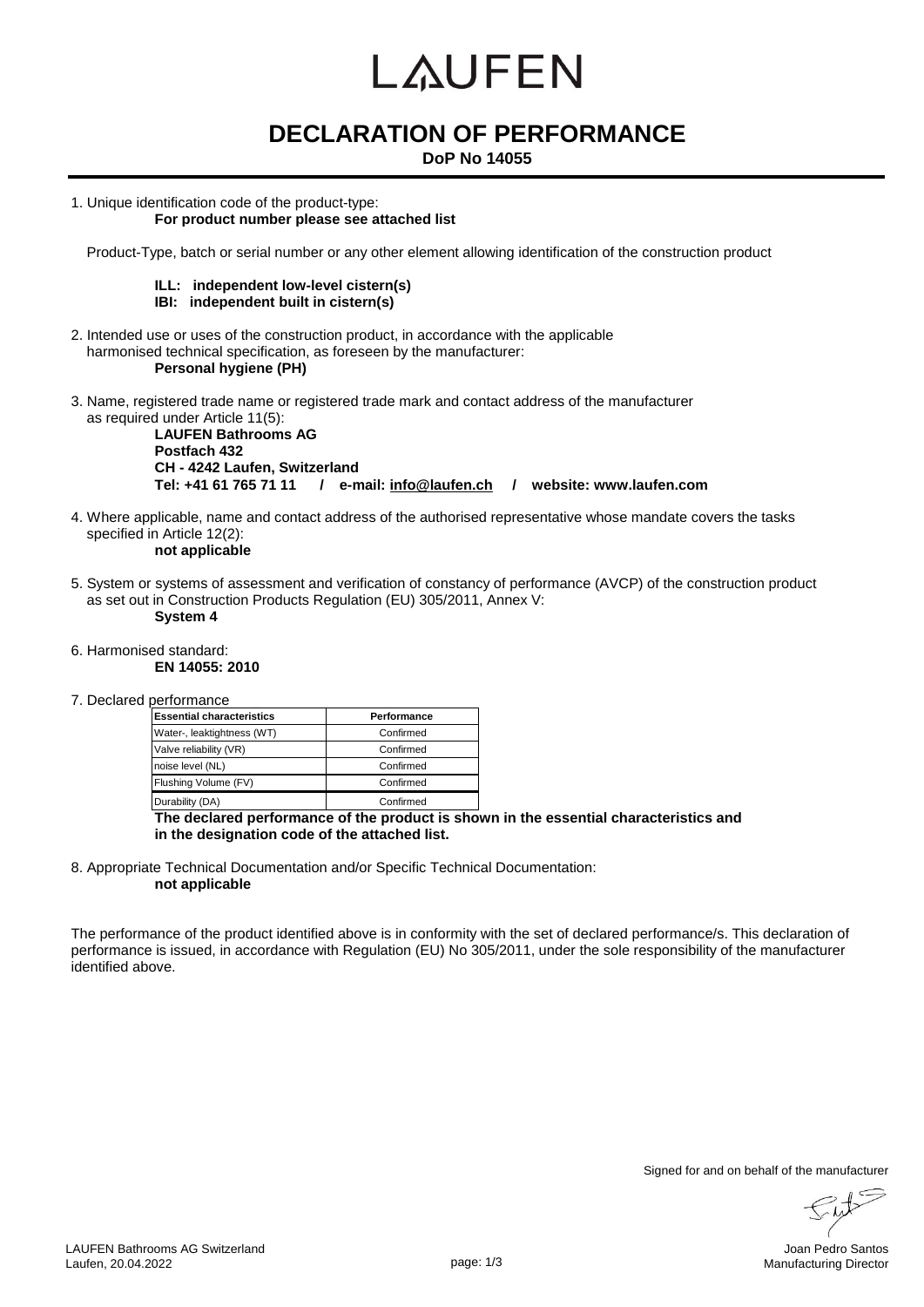# LAUFEN

# **DECLARATION OF PERFORMANCE**

**DoP No 14055**

1. Unique identification code of the product-type:

### **For product number please see attached list**

Product-Type, batch or serial number or any other element allowing identification of the construction product

#### **ILL: independent low-level cistern(s) IBI: independent built in cistern(s)**

- 2. Intended use or uses of the construction product, in accordance with the applicable harmonised technical specification, as foreseen by the manufacturer: **Personal hygiene (PH)**
- 3. Name, registered trade name or registered trade mark and contact address of the manufacturer as required under Article 11(5):

**LAUFEN Bathrooms AG Postfach 432 CH - 4242 Laufen, Switzerland Tel: +41 61 765 71 11 / e-mail: info@laufen.ch / website: www.laufen.com**

4. Where applicable, name and contact address of the authorised representative whose mandate covers the tasks specified in Article 12(2):

### **not applicable**

5. System or systems of assessment and verification of constancy of performance (AVCP) of the construction product as set out in Construction Products Regulation (EU) 305/2011, Annex V: **System 4**

### 6. Harmonised standard:

**EN 14055: 2010**

7. Declared performance

| <b>Essential characteristics</b> | Performance |  |  |  |  |
|----------------------------------|-------------|--|--|--|--|
| Water-, leaktightness (WT)       | Confirmed   |  |  |  |  |
| Valve reliability (VR)           | Confirmed   |  |  |  |  |
| noise level (NL)                 | Confirmed   |  |  |  |  |
| Flushing Volume (FV)             | Confirmed   |  |  |  |  |
| Durability (DA)                  | Confirmed   |  |  |  |  |

**The declared performance of the product is shown in the essential characteristics and in the designation code of the attached list.**

8. Appropriate Technical Documentation and/or Specific Technical Documentation: **not applicable**

The performance of the product identified above is in conformity with the set of declared performance/s. This declaration of performance is issued, in accordance with Regulation (EU) No 305/2011, under the sole responsibility of the manufacturer identified above.

Signed for and on behalf of the manufacturer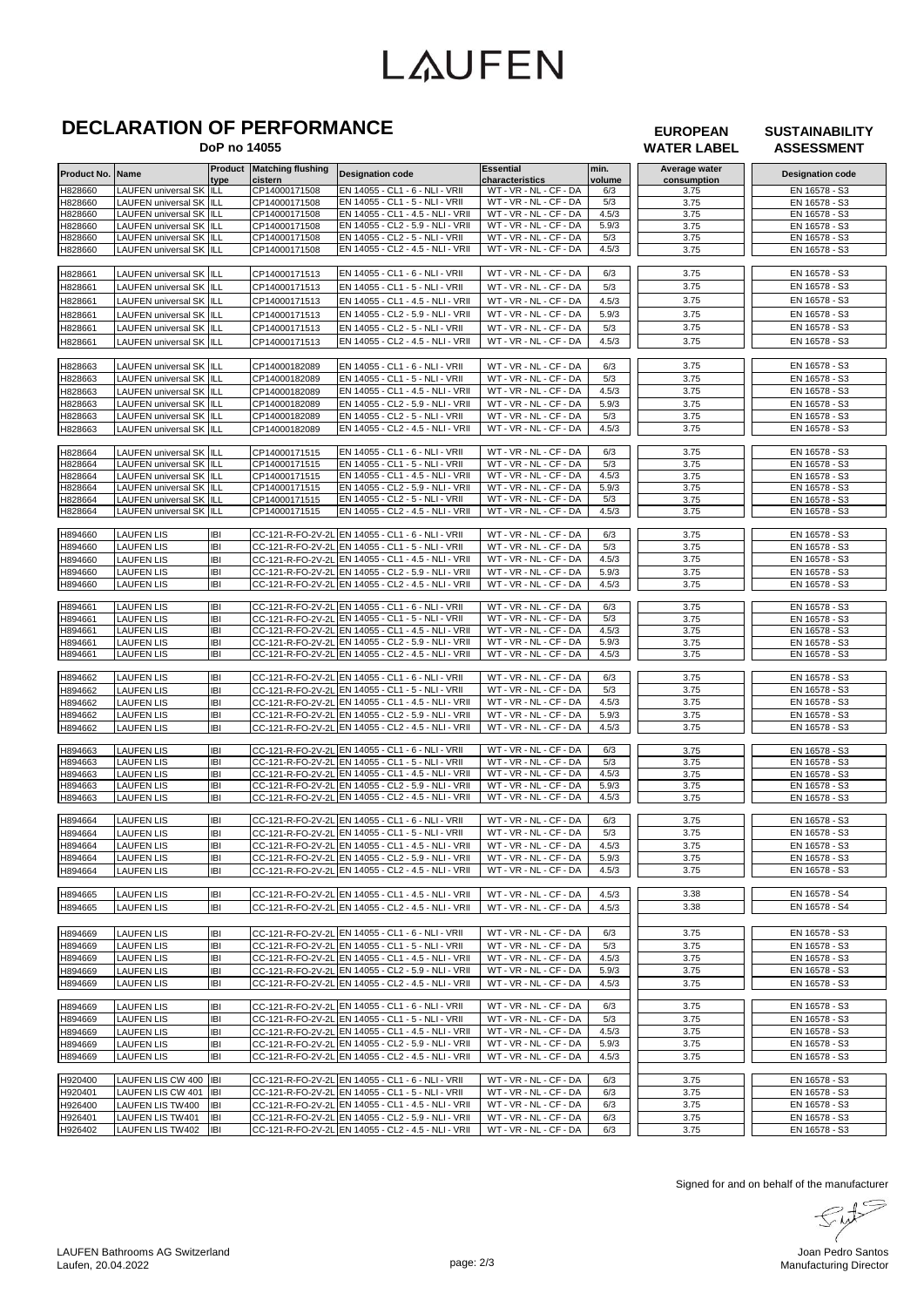# **LAUFEN**

## **DECLARATION OF PERFORMANCE**

 **DoP no 14055**

#### **EUROPEAN WATER LABEL**

**SUSTAINABILITY ASSESSMENT**

| Product No. | Name                           |            | <b>Product Matching flushing</b> | <b>Designation code</b>                             | <b>Essential</b>       | min.   | Average water | <b>Designation code</b> |
|-------------|--------------------------------|------------|----------------------------------|-----------------------------------------------------|------------------------|--------|---------------|-------------------------|
|             |                                | type       | cistern                          |                                                     | characteristics        | volume | consumption   |                         |
| H828660     | <b>LAUFEN universal SK</b>     | ILL        | CP14000171508                    | EN 14055 - CL1 - 6 - NLI - VRII                     | WT - VR - NL - CF - DA | 6/3    | 3.75          | EN 16578 - S3           |
| H828660     | <b>LAUFEN universal SK</b>     | ILL        | CP14000171508                    | EN 14055 - CL1 - 5 - NLI - VRII                     | WT - VR - NL - CF - DA | 5/3    | 3.75          | EN 16578 - S3           |
| H828660     | <b>LAUFEN universal SK</b>     | ILL        | CP14000171508                    | EN 14055 - CL1 - 4.5 - NLI - VRII                   | WT - VR - NL - CF - DA | 4.5/3  | 3.75          | EN 16578 - S3           |
| H828660     | <b>LAUFEN universal SK</b>     | ILL        | CP14000171508                    | EN 14055 - CL2 - 5.9 - NLI - VRII                   | WT - VR - NL - CF - DA | 5.9/3  | 3.75          | EN 16578 - S3           |
| H828660     | LAUFEN universal SK ILL        |            | CP14000171508                    | EN 14055 - CL2 - 5 - NLI - VRII                     | WT - VR - NL - CF - DA | 5/3    | 3.75          | EN 16578 - S3           |
| H828660     | LAUFEN universal SK ILL        |            | CP14000171508                    | EN 14055 - CL2 - 4.5 - NLI - VRII                   | WT - VR - NL - CF - DA | 4.5/3  | 3.75          | EN 16578 - S3           |
|             |                                |            |                                  |                                                     |                        |        |               |                         |
| H828661     | LAUFEN universal SK ILL        |            | CP14000171513                    | EN 14055 - CL1 - 6 - NLI - VRII                     | WT - VR - NL - CF - DA | 6/3    | 3.75          | EN 16578 - S3           |
| H828661     | <b>LAUFEN universal SK</b>     | ШL         | CP14000171513                    | EN 14055 - CL1 - 5 - NLI - VRII                     | WT - VR - NL - CF - DA | 5/3    | 3.75          | EN 16578 - S3           |
| H828661     | LAUFEN universal SK            | ILL        | CP14000171513                    | EN 14055 - CL1 - 4.5 - NLI - VRII                   | WT - VR - NL - CF - DA | 4.5/3  | 3.75          | EN 16578 - S3           |
|             | <b>LAUFEN universal SK</b>     | ILL        | CP14000171513                    | EN 14055 - CL2 - 5.9 - NLI - VRII                   | WT - VR - NL - CF - DA | 5.9/3  | 3.75          | EN 16578 - S3           |
| H828661     |                                |            |                                  |                                                     |                        |        |               |                         |
| H828661     | <b>LAUFEN universal SK</b>     | ILL        | CP14000171513                    | EN 14055 - CL2 - 5 - NLI - VRII                     | WT - VR - NL - CF - DA | 5/3    | 3.75          | EN 16578 - S3           |
| H828661     | <b>LAUFEN universal SK ILL</b> |            | CP14000171513                    | EN 14055 - CL2 - 4.5 - NLI - VRII                   | WT - VR - NL - CF - DA | 4.5/3  | 3.75          | EN 16578 - S3           |
|             |                                |            |                                  |                                                     |                        |        |               |                         |
| H828663     | LAUFEN universal SK ILL        |            | CP14000182089                    | EN 14055 - CL1 - 6 - NLI - VRII                     | WT - VR - NL - CF - DA | 6/3    | 3.75          | EN 16578 - S3           |
| H828663     | <b>LAUFEN universal SK</b>     | ILL        | CP14000182089                    | EN 14055 - CL1 - 5 - NLI - VRII                     | WT - VR - NL - CF - DA | 5/3    | 3.75          | EN 16578 - S3           |
| H828663     | <b>LAUFEN universal SK</b>     | ILL        | CP14000182089                    | EN 14055 - CL1 - 4.5 - NLI - VRII                   | WT - VR - NL - CF - DA | 4.5/3  | 3.75          | EN 16578 - S3           |
| H828663     | LAUFEN universal SK            | IILL       | CP14000182089                    | EN 14055 - CL2 - 5.9 - NLI - VRII                   | WT - VR - NL - CF - DA | 5.9/3  | 3.75          | EN 16578 - S3           |
| H828663     | <b>LAUFEN universal SK</b>     | ILL        | CP14000182089                    | EN 14055 - CL2 - 5 - NLI - VRII                     | WT - VR - NL - CF - DA | 5/3    | 3.75          | EN 16578 - S3           |
| H828663     | LAUFEN universal SK ILL        |            | CP14000182089                    | EN 14055 - CL2 - 4.5 - NLI - VRII                   | WT - VR - NL - CF - DA | 4.5/3  | 3.75          | EN 16578 - S3           |
|             |                                |            |                                  |                                                     |                        |        |               |                         |
| H828664     | LAUFEN universal SK ILL        |            | CP14000171515                    | EN 14055 - CL1 - 6 - NLI - VRII                     | WT - VR - NL - CF - DA | 6/3    | 3.75          | EN 16578 - S3           |
| H828664     | <b>LAUFEN universal SK ILL</b> |            | CP14000171515                    | EN 14055 - CL1 - 5 - NLI - VRII                     | WT - VR - NL - CF - DA | 5/3    | 3.75          | EN 16578 - S3           |
| H828664     | LAUFEN universal SK            | ILL        | CP14000171515                    | EN 14055 - CL1 - 4.5 - NLI - VRII                   | WT - VR - NL - CF - DA | 4.5/3  | 3.75          | EN 16578 - S3           |
| H828664     | LAUFEN universal SK            | ILL        | CP14000171515                    | EN 14055 - CL2 - 5.9 - NLI - VRII                   | WT - VR - NL - CF - DA | 5.9/3  | 3.75          | EN 16578 - S3           |
| H828664     | LAUFEN universal SK            | ILL        | CP14000171515                    | EN 14055 - CL2 - 5 - NLI - VRII                     | WT - VR - NL - CF - DA | 5/3    | 3.75          | EN 16578 - S3           |
| H828664     | LAUFEN universal SK ILL        |            | CP14000171515                    | EN 14055 - CL2 - 4.5 - NLI - VRII                   | WT - VR - NL - CF - DA | 4.5/3  | 3.75          | EN 16578 - S3           |
|             |                                |            |                                  |                                                     |                        |        |               |                         |
| H894660     | <b>LAUFEN LIS</b>              | IBI        |                                  | CC-121-R-FO-2V-2L EN 14055 - CL1 - 6 - NLI - VRII   | WT - VR - NL - CF - DA | 6/3    | 3.75          | EN 16578 - S3           |
|             |                                | <b>IBI</b> |                                  | CC-121-R-FO-2V-2L EN 14055 - CL1 - 5 - NLI - VRII   | WT - VR - NL - CF - DA | 5/3    |               | EN 16578 - S3           |
| H894660     | <b>LAUFEN LIS</b>              |            |                                  |                                                     |                        |        | 3.75          |                         |
| H894660     | <b>LAUFEN LIS</b>              | IBI        | CC-121-R-FO-2V-2L                | EN 14055 - CL1 - 4.5 - NLI - VRII                   | WT - VR - NL - CF - DA | 4.5/3  | 3.75          | EN 16578 - S3           |
| H894660     | <b>LAUFEN LIS</b>              | IBI        |                                  | CC-121-R-FO-2V-2L EN 14055 - CL2 - 5.9 - NLI - VRII | WT - VR - NL - CF - DA | 5.9/3  | 3.75          | EN 16578 - S3           |
| H894660     | <b>LAUFEN LIS</b>              | IBI        |                                  | CC-121-R-FO-2V-2L EN 14055 - CL2 - 4.5 - NLI - VRII | WT - VR - NL - CF - DA | 4.5/3  | 3.75          | EN 16578 - S3           |
|             |                                |            |                                  |                                                     |                        |        |               |                         |
| H894661     | <b>LAUFEN LIS</b>              | <b>IBI</b> |                                  | CC-121-R-FO-2V-2L EN 14055 - CL1 - 6 - NLI - VRII   | WT - VR - NL - CF - DA | 6/3    | 3.75          | EN 16578 - S3           |
| H894661     | <b>LAUFEN LIS</b>              | <b>IBI</b> | CC-121-R-FO-2V-2L                | EN 14055 - CL1 - 5 - NLI - VRII                     | WT - VR - NL - CF - DA | 5/3    | 3.75          | EN 16578 - S3           |
| H894661     | <b>LAUFEN LIS</b>              | <b>IBI</b> |                                  | CC-121-R-FO-2V-2L EN 14055 - CL1 - 4.5 - NLI - VRII | WT - VR - NL - CF - DA | 4.5/3  | 3.75          | EN 16578 - S3           |
| H894661     | <b>LAUFEN LIS</b>              | IBI        | CC-121-R-FO-2V-2L                | EN 14055 - CL2 - 5.9 - NLI - VRII                   | WT - VR - NL - CF - DA | 5.9/3  | 3.75          | EN 16578 - S3           |
| H894661     | <b>LAUFEN LIS</b>              | IBI        |                                  | CC-121-R-FO-2V-2L EN 14055 - CL2 - 4.5 - NLI - VRII | WT - VR - NL - CF - DA | 4.5/3  | 3.75          | EN 16578 - S3           |
|             |                                |            |                                  |                                                     |                        |        |               |                         |
| H894662     | <b>LAUFEN LIS</b>              | IBI        |                                  | CC-121-R-FO-2V-2L EN 14055 - CL1 - 6 - NLI - VRII   | WT - VR - NL - CF - DA | 6/3    | 3.75          | EN 16578 - S3           |
| H894662     | <b>LAUFEN LIS</b>              | IBI        | CC-121-R-FO-2V-2L                | EN 14055 - CL1 - 5 - NLI - VRII                     | WT - VR - NL - CF - DA | 5/3    | 3.75          | EN 16578 - S3           |
| H894662     | <b>LAUFEN LIS</b>              | IBI        | CC-121-R-FO-2V-2L                | EN 14055 - CL1 - 4.5 - NLI - VRII                   | WT - VR - NL - CF - DA | 4.5/3  | 3.75          | EN 16578 - S3           |
| H894662     | <b>LAUFEN LIS</b>              | IBI        |                                  | CC-121-R-FO-2V-2L EN 14055 - CL2 - 5.9 - NLI - VRII | WT - VR - NL - CF - DA | 5.9/3  | 3.75          | EN 16578 - S3           |
| H894662     | <b>LAUFEN LIS</b>              | IBI        |                                  | CC-121-R-FO-2V-2L EN 14055 - CL2 - 4.5 - NLI - VRII | WT - VR - NL - CF - DA | 4.5/3  | 3.75          | EN 16578 - S3           |
|             |                                |            |                                  |                                                     |                        |        |               |                         |
| H894663     | <b>LAUFEN LIS</b>              | IBI        |                                  | CC-121-R-FO-2V-2L EN 14055 - CL1 - 6 - NLI - VRII   | WT - VR - NL - CF - DA | 6/3    | 3.75          | EN 16578 - S3           |
| H894663     | <b>LAUFEN LIS</b>              | IBI        |                                  | CC-121-R-FO-2V-2L EN 14055 - CL1 - 5 - NLI - VRII   | WT - VR - NL - CF - DA | 5/3    | 3.75          | EN 16578 - S3           |
| H894663     | <b>LAUFEN LIS</b>              | IBI        | CC-121-R-FO-2V-2L                | EN 14055 - CL1 - 4.5 - NLI - VRII                   | WT - VR - NL - CF - DA | 4.5/3  | 3.75          | EN 16578 - S3           |
| H894663     | <b>LAUFEN LIS</b>              | IBI        |                                  | CC-121-R-FO-2V-2L EN 14055 - CL2 - 5.9 - NLI - VRII | WT - VR - NL - CF - DA | 5.9/3  | 3.75          | EN 16578 - S3           |
| H894663     | <b>LAUFEN LIS</b>              | IBI        |                                  | CC-121-R-FO-2V-2L EN 14055 - CL2 - 4.5 - NLI - VRII | WT - VR - NL - CF - DA | 4.5/3  | 3.75          | EN 16578 - S3           |
|             |                                |            |                                  |                                                     |                        |        |               |                         |
| H894664     | <b>LAUFEN LIS</b>              | IBI        |                                  | CC-121-R-FO-2V-2L EN 14055 - CL1 - 6 - NLI - VRII   | WT - VR - NL - CF - DA | 6/3    | 3.75          | EN 16578 - S3           |
| H894664     | <b>LAUFEN LIS</b>              | <b>IBI</b> |                                  | CC-121-R-FO-2V-2L EN 14055 - CL1 - 5 - NLI - VRII   | WT - VR - NL - CF - DA | 5/3    | 3.75          | EN 16578 - S3           |
| H894664     | <b>LAUFEN LIS</b>              | IBI        |                                  | CC-121-R-FO-2V-2L EN 14055 - CL1 - 4.5 - NLI - VRII | WT-VR-NL-CF-DA         | 4.5/3  | 3.75          | EN 16578 - S3           |
| H894664     | <b>LAUFEN LIS</b>              | IBI        |                                  | CC-121-R-FO-2V-2L EN 14055 - CL2 - 5.9 - NLI - VRII | WT - VR - NL - CF - DA | 5.9/3  | 3.75          | EN 16578 - S3           |
| H894664     | <b>LAUFEN LIS</b>              | IBI        |                                  | CC-121-R-FO-2V-2L EN 14055 - CL2 - 4.5 - NLI - VRII | WT - VR - NL - CF - DA | 4.5/3  | 3.75          | EN 16578 - S3           |
|             |                                |            |                                  |                                                     |                        |        |               |                         |
| H894665     | <b>LAUFEN LIS</b>              | IBI        |                                  | CC-121-R-FO-2V-2L EN 14055 - CL1 - 4.5 - NLI - VRII | WT - VR - NL - CF - DA | 4.5/3  | 3.38          | EN 16578 - S4           |
|             |                                |            |                                  |                                                     |                        |        |               |                         |
| H894665     | <b>LAUFEN LIS</b>              | IBI        |                                  | CC-121-R-FO-2V-2L EN 14055 - CL2 - 4.5 - NLI - VRII | WT - VR - NL - CF - DA | 4.5/3  | 3.38          | EN 16578 - S4           |
|             |                                |            |                                  |                                                     |                        |        |               |                         |
| H894669     | <b>LAUFEN LIS</b>              | <b>IBI</b> |                                  | CC-121-R-FO-2V-2L EN 14055 - CL1 - 6 - NLI - VRII   | WT - VR - NL - CF - DA | 6/3    | 3.75          | EN 16578 - S3           |
| H894669     | <b>LAUFEN LIS</b>              | IBI        |                                  | CC-121-R-FO-2V-2L EN 14055 - CL1 - 5 - NLI - VRII   | WT - VR - NL - CF - DA | 5/3    | 3.75          | EN 16578 - S3           |
| H894669     | <b>LAUFEN LIS</b>              | IBI        |                                  | CC-121-R-FO-2V-2L EN 14055 - CL1 - 4.5 - NLI - VRII | WT-VR-NL-CF-DA         | 4.5/3  | 3.75          | EN 16578 - S3           |
| H894669     | <b>LAUFEN LIS</b>              | IBI        |                                  | CC-121-R-FO-2V-2L EN 14055 - CL2 - 5.9 - NLI - VRII | WT - VR - NL - CF - DA | 5.9/3  | 3.75          | EN 16578 - S3           |
| H894669     | <b>LAUFEN LIS</b>              | IBI        |                                  | CC-121-R-FO-2V-2L EN 14055 - CL2 - 4.5 - NLI - VRII | WT - VR - NL - CF - DA | 4.5/3  | 3.75          | EN 16578 - S3           |
|             |                                |            |                                  |                                                     |                        |        |               |                         |
| H894669     | <b>LAUFEN LIS</b>              | IBI        |                                  | CC-121-R-FO-2V-2L EN 14055 - CL1 - 6 - NLI - VRII   | WT - VR - NL - CF - DA | 6/3    | 3.75          | EN 16578 - S3           |
| H894669     | <b>LAUFEN LIS</b>              | IBI        |                                  | CC-121-R-FO-2V-2L EN 14055 - CL1 - 5 - NLI - VRII   | WT - VR - NL - CF - DA | 5/3    | 3.75          | EN 16578 - S3           |
| H894669     | <b>LAUFEN LIS</b>              | IBI        |                                  | CC-121-R-FO-2V-2L EN 14055 - CL1 - 4.5 - NLI - VRII | WT-VR-NL-CF-DA         | 4.5/3  | 3.75          | EN 16578 - S3           |
|             |                                | IBI        |                                  | CC-121-R-FO-2V-2L EN 14055 - CL2 - 5.9 - NLI - VRII |                        | 5.9/3  | 3.75          |                         |
| H894669     | <b>LAUFEN LIS</b>              |            |                                  |                                                     | WT - VR - NL - CF - DA |        |               | EN 16578 - S3           |
| H894669     | <b>LAUFEN LIS</b>              | <b>IBI</b> |                                  | CC-121-R-FO-2V-2L EN 14055 - CL2 - 4.5 - NLI - VRII | WT - VR - NL - CF - DA | 4.5/3  | 3.75          | EN 16578 - S3           |
|             |                                |            |                                  |                                                     |                        |        |               |                         |
| H920400     | LAUFEN LIS CW 400              | <b>IBI</b> |                                  | CC-121-R-FO-2V-2L EN 14055 - CL1 - 6 - NLI - VRII   | WT - VR - NL - CF - DA | 6/3    | 3.75          | EN 16578 - S3           |
| H920401     | LAUFEN LIS CW 401              | IBI        |                                  | CC-121-R-FO-2V-2L EN 14055 - CL1 - 5 - NLI - VRII   | WT - VR - NL - CF - DA | 6/3    | 3.75          | EN 16578 - S3           |
| H926400     | <b>LAUFEN LIS TW400</b>        | IBI        |                                  | CC-121-R-FO-2V-2L EN 14055 - CL1 - 4.5 - NLI - VRII | WT - VR - NL - CF - DA | 6/3    | 3.75          | EN 16578 - S3           |
| H926401     | <b>LAUFEN LIS TW401</b>        | IBI        |                                  | CC-121-R-FO-2V-2L EN 14055 - CL2 - 5.9 - NLI - VRII | WT - VR - NL - CF - DA | 6/3    | 3.75          | EN 16578 - S3           |
| H926402     | <b>LAUFEN LIS TW402</b>        | <b>IBI</b> |                                  | CC-121-R-FO-2V-2L EN 14055 - CL2 - 4.5 - NLI - VRII | WT - VR - NL - CF - DA | 6/3    | 3.75          | EN 16578 - S3           |

Signed for and on behalf of the manufacturer<br>  $\begin{picture}(16,15) \put(0,0){\line(1,0){10}} \put(15,0){\line(1,0){10}} \put(15,0){\line(1,0){10}} \put(15,0){\line(1,0){10}} \put(15,0){\line(1,0){10}} \put(15,0){\line(1,0){10}} \put(15,0){\line(1,0){10}} \put(15,0){\line(1,0){10}} \put(15,0){\line(1,0){10}} \put$ 

Ju  $\sqrt{ }$